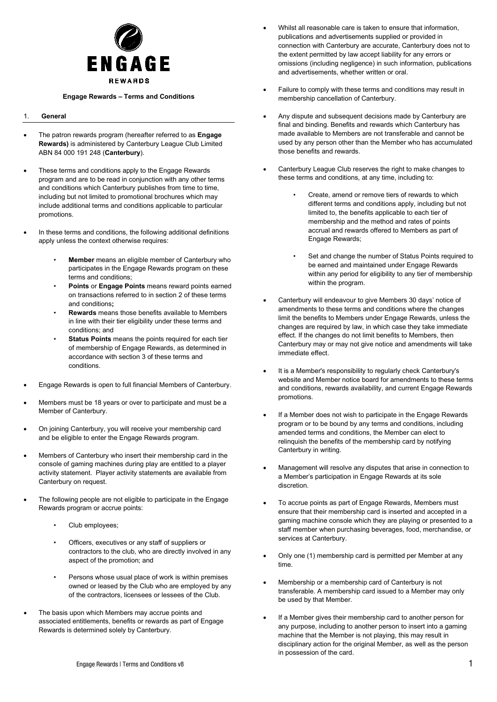

#### **Engage Rewards – Terms and Conditions**

# 1. **General**

- The patron rewards program (hereafter referred to as **Engage Rewards)** is administered by Canterbury League Club Limited ABN 84 000 191 248 (**Canterbury**).
- These terms and conditions apply to the Engage Rewards program and are to be read in conjunction with any other terms and conditions which Canterbury publishes from time to time, including but not limited to promotional brochures which may include additional terms and conditions applicable to particular promotions.
- In these terms and conditions, the following additional definitions apply unless the context otherwise requires:
	- **Member** means an eligible member of Canterbury who participates in the Engage Rewards program on these terms and conditions;
	- **Points** or **Engage Points** means reward points earned on transactions referred to in section [2](#page-1-0) of these terms and conditions**;**
	- **Rewards** means those benefits available to Members in line with their tier eligibility under these terms and conditions; and
	- **Status Points** means the points required for each tier of membership of Engage Rewards, as determined in accordance with section [3](#page-1-1) of these terms and conditions.
- Engage Rewards is open to full financial Members of Canterbury.
- Members must be 18 years or over to participate and must be a Member of Canterbury.
- On joining Canterbury, you will receive your membership card and be eligible to enter the Engage Rewards program.
- Members of Canterbury who insert their membership card in the console of gaming machines during play are entitled to a player activity statement. Player activity statements are available from Canterbury on request.
- The following people are not eligible to participate in the Engage Rewards program or accrue points:
	- Club employees;
	- Officers, executives or any staff of suppliers or contractors to the club, who are directly involved in any aspect of the promotion; and
	- Persons whose usual place of work is within premises owned or leased by the Club who are employed by any of the contractors, licensees or lessees of the Club.
- The basis upon which Members may accrue points and associated entitlements, benefits or rewards as part of Engage Rewards is determined solely by Canterbury.
- Whilst all reasonable care is taken to ensure that information, publications and advertisements supplied or provided in connection with Canterbury are accurate, Canterbury does not to the extent permitted by law accept liability for any errors or omissions (including negligence) in such information, publications and advertisements, whether written or oral.
- Failure to comply with these terms and conditions may result in membership cancellation of Canterbury.
- Any dispute and subsequent decisions made by Canterbury are final and binding. Benefits and rewards which Canterbury has made available to Members are not transferable and cannot be used by any person other than the Member who has accumulated those benefits and rewards.
- Canterbury League Club reserves the right to make changes to these terms and conditions, at any time, including to:
	- Create, amend or remove tiers of rewards to which different terms and conditions apply, including but not limited to, the benefits applicable to each tier of membership and the method and rates of points accrual and rewards offered to Members as part of Engage Rewards;
	- Set and change the number of Status Points required to be earned and maintained under Engage Rewards within any period for eligibility to any tier of membership within the program.
- Canterbury will endeavour to give Members 30 days' notice of amendments to these terms and conditions where the changes limit the benefits to Members under Engage Rewards, unless the changes are required by law, in which case they take immediate effect. If the changes do not limit benefits to Members, then Canterbury may or may not give notice and amendments will take immediate effect.
- It is a Member's responsibility to regularly check Canterbury's website and Member notice board for amendments to these terms and conditions, rewards availability, and current Engage Rewards promotions.
- If a Member does not wish to participate in the Engage Rewards program or to be bound by any terms and conditions, including amended terms and conditions, the Member can elect to relinquish the benefits of the membership card by notifying Canterbury in writing.
- Management will resolve any disputes that arise in connection to a Member's participation in Engage Rewards at its sole discretion.
- To accrue points as part of Engage Rewards, Members must ensure that their membership card is inserted and accepted in a gaming machine console which they are playing or presented to a staff member when purchasing beverages, food, merchandise, or services at Canterbury.
- Only one (1) membership card is permitted per Member at any time.
- Membership or a membership card of Canterbury is not transferable. A membership card issued to a Member may only be used by that Member.
- If a Member gives their membership card to another person for any purpose, including to another person to insert into a gaming machine that the Member is not playing, this may result in disciplinary action for the original Member, as well as the person in possession of the card.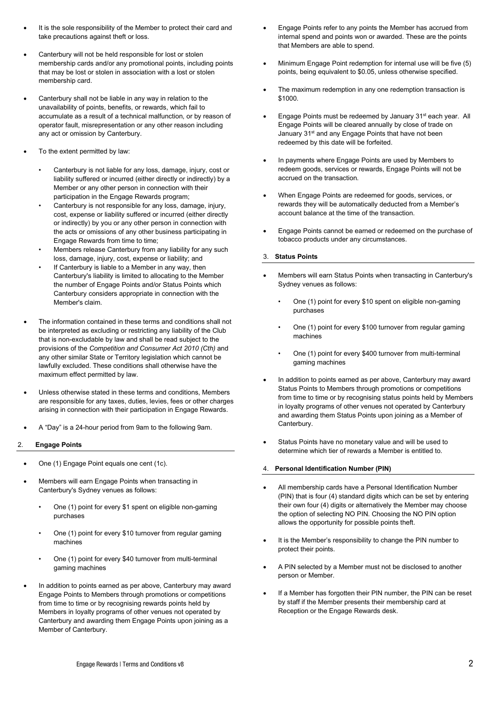- It is the sole responsibility of the Member to protect their card and take precautions against theft or loss.
- Canterbury will not be held responsible for lost or stolen membership cards and/or any promotional points, including points that may be lost or stolen in association with a lost or stolen membership card.
- Canterbury shall not be liable in any way in relation to the unavailability of points, benefits, or rewards, which fail to accumulate as a result of a technical malfunction, or by reason of operator fault, misrepresentation or any other reason including any act or omission by Canterbury.
- To the extent permitted by law:
	- Canterbury is not liable for any loss, damage, injury, cost or liability suffered or incurred (either directly or indirectly) by a Member or any other person in connection with their participation in the Engage Rewards program;
	- Canterbury is not responsible for any loss, damage, injury, cost, expense or liability suffered or incurred (either directly or indirectly) by you or any other person in connection with the acts or omissions of any other business participating in Engage Rewards from time to time;
	- Members release Canterbury from any liability for any such loss, damage, injury, cost, expense or liability; and
	- If Canterbury is liable to a Member in any way, then Canterbury's liability is limited to allocating to the Member the number of Engage Points and/or Status Points which Canterbury considers appropriate in connection with the Member's claim.
- The information contained in these terms and conditions shall not be interpreted as excluding or restricting any liability of the Club that is non-excludable by law and shall be read subject to the provisions of the *Competition and Consumer Act 2010 (Cth)* and any other similar State or Territory legislation which cannot be lawfully excluded. These conditions shall otherwise have the maximum effect permitted by law.
- Unless otherwise stated in these terms and conditions, Members are responsible for any taxes, duties, levies, fees or other charges arising in connection with their participation in Engage Rewards.
- A "Day" is a 24-hour period from 9am to the following 9am.
- <span id="page-1-0"></span>2. **Engage Points**
- One (1) Engage Point equals one cent (1c).
- Members will earn Engage Points when transacting in Canterbury's Sydney venues as follows:
	- One (1) point for every \$1 spent on eligible non-gaming purchases
	- One (1) point for every \$10 turnover from regular gaming machines
	- One (1) point for every \$40 turnover from multi-terminal gaming machines
- In addition to points earned as per above, Canterbury may award Engage Points to Members through promotions or competitions from time to time or by recognising rewards points held by Members in loyalty programs of other venues not operated by Canterbury and awarding them Engage Points upon joining as a Member of Canterbury.
- Engage Points refer to any points the Member has accrued from internal spend and points won or awarded. These are the points that Members are able to spend.
- Minimum Engage Point redemption for internal use will be five (5) points, being equivalent to \$0.05, unless otherwise specified.
- The maximum redemption in any one redemption transaction is \$1000.
- Engage Points must be redeemed by January 31<sup>st</sup> each year. All Engage Points will be cleared annually by close of trade on January 31<sup>st</sup> and any Engage Points that have not been redeemed by this date will be forfeited.
- In payments where Engage Points are used by Members to redeem goods, services or rewards, Engage Points will not be accrued on the transaction.
- When Engage Points are redeemed for goods, services, or rewards they will be automatically deducted from a Member's account balance at the time of the transaction.
- Engage Points cannot be earned or redeemed on the purchase of tobacco products under any circumstances.
- <span id="page-1-1"></span>3. **Status Points**
- Members will earn Status Points when transacting in Canterbury's Sydney venues as follows:
	- One (1) point for every \$10 spent on eligible non-gaming purchases
	- One (1) point for every \$100 turnover from regular gaming machines
	- One (1) point for every \$400 turnover from multi-terminal gaming machines
- In addition to points earned as per above, Canterbury may award Status Points to Members through promotions or competitions from time to time or by recognising status points held by Members in loyalty programs of other venues not operated by Canterbury and awarding them Status Points upon joining as a Member of Canterbury.
- Status Points have no monetary value and will be used to determine which tier of rewards a Member is entitled to.

# 4. **Personal Identification Number (PIN)**

- All membership cards have a Personal Identification Number (PIN) that is four (4) standard digits which can be set by entering their own four (4) digits or alternatively the Member may choose the option of selecting NO PIN. Choosing the NO PIN option allows the opportunity for possible points theft.
- It is the Member's responsibility to change the PIN number to protect their points.
- A PIN selected by a Member must not be disclosed to another person or Member.
- If a Member has forgotten their PIN number, the PIN can be reset by staff if the Member presents their membership card at Reception or the Engage Rewards desk.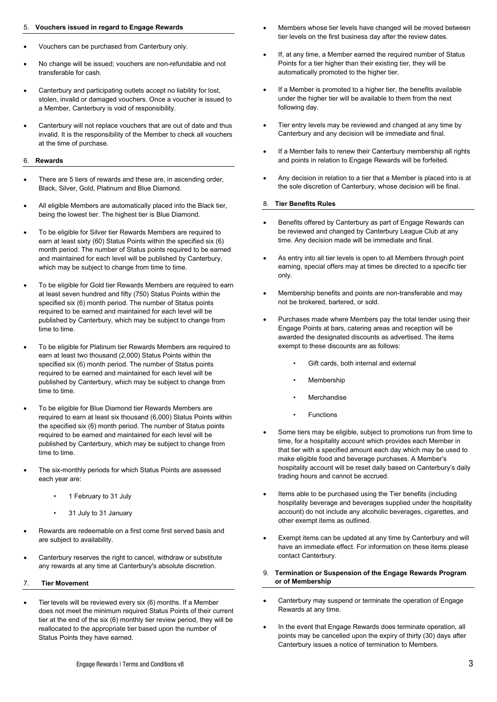# 5. **Vouchers issued in regard to Engage Rewards**

- Vouchers can be purchased from Canterbury only.
- No change will be issued; vouchers are non-refundable and not transferable for cash.
- Canterbury and participating outlets accept no liability for lost, stolen, invalid or damaged vouchers. Once a voucher is issued to a Member, Canterbury is void of responsibility.
- Canterbury will not replace vouchers that are out of date and thus invalid. It is the responsibility of the Member to check all vouchers at the time of purchase.

#### 6. **Rewards**

- There are 5 tiers of rewards and these are, in ascending order, Black, Silver, Gold, Platinum and Blue Diamond.
- All eligible Members are automatically placed into the Black tier, being the lowest tier. The highest tier is Blue Diamond.
- To be eligible for Silver tier Rewards Members are required to earn at least sixty (60) Status Points within the specified six (6) month period. The number of Status points required to be earned and maintained for each level will be published by Canterbury, which may be subject to change from time to time.
- To be eligible for Gold tier Rewards Members are required to earn at least seven hundred and fifty (750) Status Points within the specified six (6) month period. The number of Status points required to be earned and maintained for each level will be published by Canterbury, which may be subject to change from time to time.
- To be eligible for Platinum tier Rewards Members are required to earn at least two thousand (2,000) Status Points within the specified six (6) month period. The number of Status points required to be earned and maintained for each level will be published by Canterbury, which may be subject to change from time to time.
- To be eligible for Blue Diamond tier Rewards Members are required to earn at least six thousand (6,000) Status Points within the specified six (6) month period. The number of Status points required to be earned and maintained for each level will be published by Canterbury, which may be subject to change from time to time.
- The six-monthly periods for which Status Points are assessed each year are:
	- 1 February to 31 July
	- 31 July to 31 January
- Rewards are redeemable on a first come first served basis and are subject to availability.
- Canterbury reserves the right to cancel, withdraw or substitute any rewards at any time at Canterbury's absolute discretion.
- 7. **Tier Movement**
- Tier levels will be reviewed every six (6) months. If a Member does not meet the minimum required Status Points of their current tier at the end of the six (6) monthly tier review period, they will be reallocated to the appropriate tier based upon the number of Status Points they have earned.
- Members whose tier levels have changed will be moved between tier levels on the first business day after the review dates.
- If, at any time, a Member earned the required number of Status Points for a tier higher than their existing tier, they will be automatically promoted to the higher tier.
- If a Member is promoted to a higher tier, the benefits available under the higher tier will be available to them from the next following day.
- Tier entry levels may be reviewed and changed at any time by Canterbury and any decision will be immediate and final.
- If a Member fails to renew their Canterbury membership all rights and points in relation to Engage Rewards will be forfeited.
- Any decision in relation to a tier that a Member is placed into is at the sole discretion of Canterbury, whose decision will be final.

### 8. **Tier Benefits Rules**

- Benefits offered by Canterbury as part of Engage Rewards can be reviewed and changed by Canterbury League Club at any time. Any decision made will be immediate and final.
- As entry into all tier levels is open to all Members through point earning, special offers may at times be directed to a specific tier only.
- Membership benefits and points are non-transferable and may not be brokered, bartered, or sold.
- Purchases made where Members pay the total tender using their Engage Points at bars, catering areas and reception will be awarded the designated discounts as advertised. The items exempt to these discounts are as follows:
	- Gift cards, both internal and external
	- Membership
	- Merchandise
	- **Functions**
- Some tiers may be eligible, subject to promotions run from time to time, for a hospitality account which provides each Member in that tier with a specified amount each day which may be used to make eligible food and beverage purchases. A Member's hospitality account will be reset daily based on Canterbury's daily trading hours and cannot be accrued.
- Items able to be purchased using the Tier benefits (including hospitality beverage and beverages supplied under the hospitality account) do not include any alcoholic beverages, cigarettes, and other exempt items as outlined.
- Exempt items can be updated at any time by Canterbury and will have an immediate effect. For information on these items please contact Canterbury.
- 9. **Termination or Suspension of the Engage Rewards Program or of Membership**
- Canterbury may suspend or terminate the operation of Engage Rewards at any time.
- In the event that Engage Rewards does terminate operation, all points may be cancelled upon the expiry of thirty (30) days after Canterbury issues a notice of termination to Members.